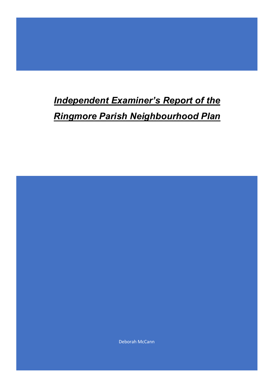# *Independent Examiner's Report of the Ringmore Parish Neighbourhood Plan*

Deborah McCann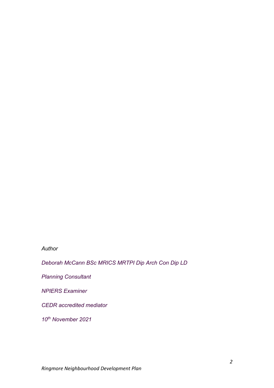#### *Author*

*Deborah McCann BSc MRICS MRTPI Dip Arch Con Dip LD*

*Planning Consultant*

*NPIERS Examiner*

*CEDR accredited mediator*

*10th November 2021*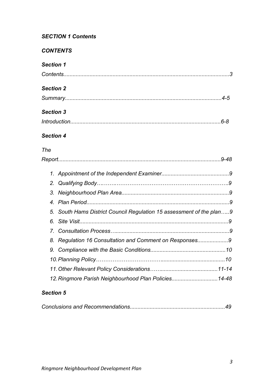## *SECTION 1 Contents*

## *CONTENTS*

# *Section 1*

| <b>Section 2</b> |  |
|------------------|--|
|                  |  |
| <b>Section 3</b> |  |
|                  |  |
| <b>Section 4</b> |  |
| The              |  |
|                  |  |
|                  |  |
|                  |  |

| 5. South Hams District Council Regulation 15 assessment of the plan9 |  |
|----------------------------------------------------------------------|--|
|                                                                      |  |
|                                                                      |  |
| 8. Regulation 16 Consultation and Comment on Responses9              |  |
|                                                                      |  |
|                                                                      |  |
|                                                                      |  |
| 12. Ringmore Parish Neighbourhood Plan Policies14-48                 |  |

## *Section 5*

|--|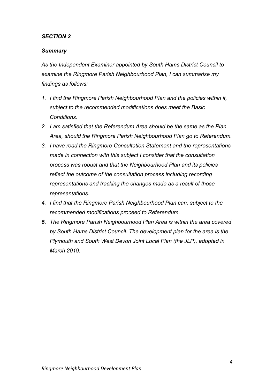#### *SECTION 2*

#### *Summary*

*As the Independent Examiner appointed by South Hams District Council to examine the Ringmore Parish Neighbourhood Plan, I can summarise my findings as follows:*

- *1. I find the Ringmore Parish Neighbourhood Plan and the policies within it, subject to the recommended modifications does meet the Basic Conditions.*
- *2. I am satisfied that the Referendum Area should be the same as the Plan Area, should the Ringmore Parish Neighbourhood Plan go to Referendum.*
- *3. I have read the Ringmore Consultation Statement and the representations made in connection with this subject I consider that the consultation process was robust and that the Neighbourhood Plan and its policies reflect the outcome of the consultation process including recording representations and tracking the changes made as a result of those representations.*
- *4. I find that the Ringmore Parish Neighbourhood Plan can, subject to the recommended modifications proceed to Referendum.*
- *5. The Ringmore Parish Neighbourhood Plan Area is within the area covered by South Hams District Council. The development plan for the area is the Plymouth and South West Devon Joint Local Plan (the JLP), adopted in March 2019.*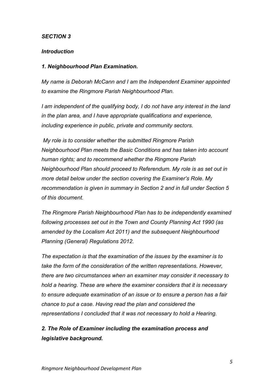#### *SECTION 3*

#### *Introduction*

#### *1. Neighbourhood Plan Examination.*

*My name is Deborah McCann and I am the Independent Examiner appointed to examine the Ringmore Parish Neighbourhood Plan.*

*I am independent of the qualifying body, I do not have any interest in the land in the plan area, and I have appropriate qualifications and experience, including experience in public, private and community sectors.*

*My role is to consider whether the submitted Ringmore Parish Neighbourhood Plan meets the Basic Conditions and has taken into account human rights; and to recommend whether the Ringmore Parish Neighbourhood Plan should proceed to Referendum. My role is as set out in more detail below under the section covering the Examiner's Role. My recommendation is given in summary in Section 2 and in full under Section 5 of this document.*

*The Ringmore Parish Neighbourhood Plan has to be independently examined following processes set out in the Town and County Planning Act 1990 (as amended by the Localism Act 2011) and the subsequent Neighbourhood Planning (General) Regulations 2012.*

*The expectation is that the examination of the issues by the examiner is to take the form of the consideration of the written representations. However, there are two circumstances when an examiner may consider it necessary to hold a hearing. These are where the examiner considers that it is necessary to ensure adequate examination of an issue or to ensure a person has a fair chance to put a case. Having read the plan and considered the representations I concluded that it was not necessary to hold a Hearing.* 

*2. The Role of Examiner including the examination process and legislative background.*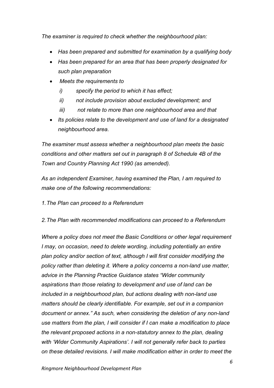*The examiner is required to check whether the neighbourhood plan:* 

- *Has been prepared and submitted for examination by a qualifying body*
- *Has been prepared for an area that has been properly designated for such plan preparation*
- *Meets the requirements to*
	- *i) specify the period to which it has effect;*
	- *ii) not include provision about excluded development; and*
	- *iii) not relate to more than one neighbourhood area and that*
- *Its policies relate to the development and use of land for a designated neighbourhood area.*

*The examiner must assess whether a neighbourhood plan meets the basic conditions and other matters set out in paragraph 8 of Schedule 4B of the Town and Country Planning Act 1990 (as amended).* 

*As an independent Examiner, having examined the Plan, I am required to make one of the following recommendations:*

- *1.The Plan can proceed to a Referendum*
- *2.The Plan with recommended modifications can proceed to a Referendum*

*Where a policy does not meet the Basic Conditions or other legal requirement I may, on occasion, need to delete wording, including potentially an entire plan policy and/or section of text, although I will first consider modifying the policy rather than deleting it. Where a policy concerns a non-land use matter, advice in the Planning Practice Guidance states "Wider community aspirations than those relating to development and use of land can be included in a neighbourhood plan, but actions dealing with non-land use matters should be clearly identifiable. For example, set out in a companion document or annex." As such, when considering the deletion of any non-land use matters from the plan, I will consider if I can make a modification to place the relevant proposed actions in a non-statutory annex to the plan, dealing with 'Wider Community Aspirations'. I will not generally refer back to parties on these detailed revisions. I will make modification either in order to meet the*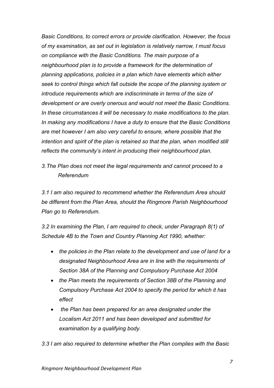*Basic Conditions, to correct errors or provide clarification. However, the focus of my examination, as set out in legislation is relatively narrow, I must focus on compliance with the Basic Conditions. The main purpose of a neighbourhood plan is to provide a framework for the determination of planning applications, policies in a plan which have elements which either seek to control things which fall outside the scope of the planning system or introduce requirements which are indiscriminate in terms of the size of development or are overly onerous and would not meet the Basic Conditions. In these circumstances it will be necessary to make modifications to the plan. In making any modifications I have a duty to ensure that the Basic Conditions are met however I am also very careful to ensure, where possible that the intention and spirit of the plan is retained so that the plan, when modified still reflects the community's intent in producing their neighbourhood plan.*

*3.The Plan does not meet the legal requirements and cannot proceed to a Referendum* 

*3.1 I am also required to recommend whether the Referendum Area should be different from the Plan Area, should the Ringmore Parish Neighbourhood Plan go to Referendum.* 

*3.2 In examining the Plan, I am required to check, under Paragraph 8(1) of Schedule 4B to the Town and Country Planning Act 1990, whether:* 

- *the policies in the Plan relate to the development and use of land for a designated Neighbourhood Area are in line with the requirements of Section 38A of the Planning and Compulsory Purchase Act 2004*
- *the Plan meets the requirements of Section 38B of the Planning and Compulsory Purchase Act 2004 to specify the period for which it has effect*
- *the Plan has been prepared for an area designated under the Localism Act 2011 and has been developed and submitted for examination by a qualifying body.*

*3.3 I am also required to determine whether the Plan complies with the Basic*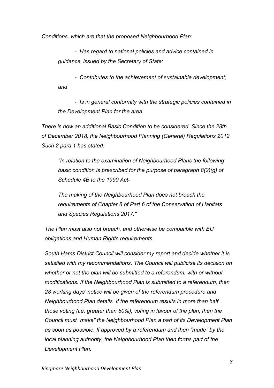*Conditions, which are that the proposed Neighbourhood Plan:*

*- Has regard to national policies and advice contained in guidance issued by the Secretary of State;* 

*- Contributes to the achievement of sustainable development; and* 

*- Is in general conformity with the strategic policies contained in the Development Plan for the area.* 

*There is now an additional Basic Condition to be considered. Since the 28th of December 2018, the Neighbourhood Planning (General) Regulations 2012 Such 2 para 1 has stated:*

*"In relation to the examination of Neighbourhood Plans the following basic condition is prescribed for the purpose of paragraph 8(2)(g) of Schedule 4B to the 1990 Act-*

*The making of the Neighbourhood Plan does not breach the requirements of Chapter 8 of Part 6 of the Conservation of Habitats and Species Regulations 2017."*

*The Plan must also not breach, and otherwise be compatible with EU obligations and Human Rights requirements.*

*South Hams District Council will consider my report and decide whether it is satisfied with my recommendations. The Council will publicise its decision on whether or not the plan will be submitted to a referendum, with or without modifications. If the Neighbourhood Plan is submitted to a referendum, then 28 working days' notice will be given of the referendum procedure and Neighbourhood Plan details. If the referendum results in more than half those voting (i.e. greater than 50%), voting in favour of the plan, then the Council must "make" the Neighbourhood Plan a part of its Development Plan as soon as possible. If approved by a referendum and then "made" by the local planning authority, the Neighbourhood Plan then forms part of the Development Plan.*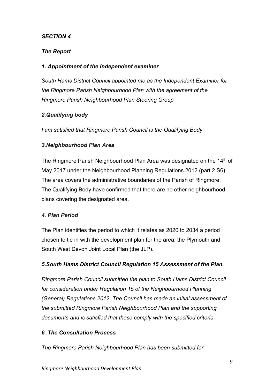## *SECTION 4*

## *The Report*

## *1. Appointment of the Independent examiner*

*South Hams District Council appointed me as the Independent Examiner for the Ringmore Parish Neighbourhood Plan with the agreement of the Ringmore Parish Neighbourhood Plan Steering Group*

## *2.Qualifying body*

*I am satisfied that Ringmore Parish Council is the Qualifying Body.* 

## *3.Neighbourhood Plan Area*

The Ringmore Parish Neighbourhood Plan Area was designated on the 14<sup>th</sup> of May 2017 under the Neighbourhood Planning Regulations 2012 (part 2 S6). The area covers the administrative boundaries of the Parish of Ringmore. The Qualifying Body have confirmed that there are no other neighbourhood plans covering the designated area.

## *4. Plan Period*

The Plan identifies the period to which it relates as 2020 to 2034 a period chosen to tie in with the development plan for the area, the Plymouth and South West Devon Joint Local Plan (the JLP).

## *5.South Hams District Council Regulation 15 Assessment of the Plan.*

*Ringmore Parish Council submitted the plan to South Hams District Council for consideration under Regulation 15 of the Neighbourhood Planning (General) Regulations 2012. The Council has made an initial assessment of the submitted Ringmore Parish Neighbourhood Plan and the supporting documents and is satisfied that these comply with the specified criteria.* 

## *6. The Consultation Process*

*The Ringmore Parish Neighbourhood Plan has been submitted for*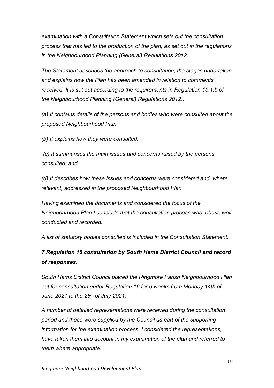*examination with a Consultation Statement which sets out the consultation process that has led to the production of the plan, as set out in the regulations in the Neighbourhood Planning (General) Regulations 2012.*

*The Statement describes the approach to consultation, the stages undertaken and explains how the Plan has been amended in relation to comments received. It is set out according to the requirements in Regulation 15.1.b of the Neighbourhood Planning (General) Regulations 2012):*

*(a) It contains details of the persons and bodies who were consulted about the proposed Neighbourhood Plan;*

*(b) It explains how they were consulted;*

*(c) It summarises the main issues and concerns raised by the persons consulted; and*

*(d) It describes how these issues and concerns were considered and, where relevant, addressed in the proposed Neighbourhood Plan.*

*Having examined the documents and considered the focus of the Neighbourhood Plan I conclude that the consultation process was robust, well conducted and recorded.*

*A list of statutory bodies consulted is included in the Consultation Statement.*

# *7.Regulation 16 consultation by South Hams District Council and record of responses.*

*South Hams District Council placed the Ringmore Parish Neighbourhood Plan out for consultation under Regulation 16 for 6 weeks from Monday 14th of June 2021 to the 26th of July 2021.*

*A number of detailed representations were received during the consultation period and these were supplied by the Council as part of the supporting information for the examination process. I considered the representations, have taken them into account in my examination of the plan and referred to them where appropriate.*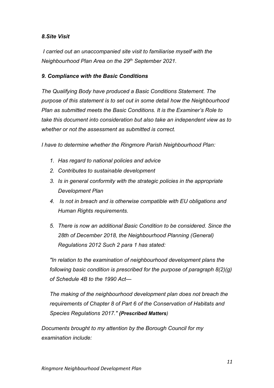## *8.Site Visit*

*I carried out an unaccompanied site visit to familiarise myself with the Neighbourhood Plan Area on the 29th September 2021.*

## *9. Compliance with the Basic Conditions*

*The Qualifying Body have produced a Basic Conditions Statement. The purpose of this statement is to set out in some detail how the Neighbourhood Plan as submitted meets the Basic Conditions. It is the Examiner's Role to take this document into consideration but also take an independent view as to whether or not the assessment as submitted is correct.*

*I have to determine whether the Ringmore Parish Neighbourhood Plan:* 

- *1. Has regard to national policies and advice*
- *2. Contributes to sustainable development*
- *3. Is in general conformity with the strategic policies in the appropriate Development Plan*
- *4. Is not in breach and is otherwise compatible with EU obligations and Human Rights requirements.*
- *5. There is now an additional Basic Condition to be considered. Since the 28th of December 2018, the Neighbourhood Planning (General) Regulations 2012 Such 2 para 1 has stated:*

*"In relation to the examination of neighbourhood development plans the following basic condition is prescribed for the purpose of paragraph 8(2)(g) of Schedule 4B to the 1990 Act—*

*The making of the neighbourhood development plan does not breach the requirements of Chapter 8 of Part 6 of the Conservation of Habitats and Species Regulations 2017." (Prescribed Matters)*

*Documents brought to my attention by the Borough Council for my examination include:*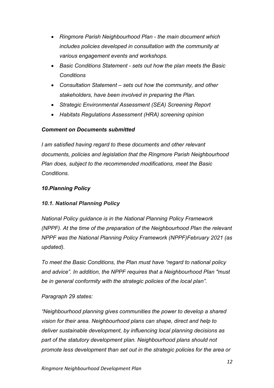- *Ringmore Parish Neighbourhood Plan - the main document which includes policies developed in consultation with the community at various engagement events and workshops.*
- *Basic Conditions Statement - sets out how the plan meets the Basic Conditions*
- *Consultation Statement – sets out how the community, and other stakeholders, have been involved in preparing the Plan.*
- *Strategic Environmental Assessment (SEA) Screening Report*
- *Habitats Regulations Assessment (HRA) screening opinion*

## *Comment on Documents submitted*

*I am satisfied having regard to these documents and other relevant documents, policies and legislation that the Ringmore Parish Neighbourhood Plan does, subject to the recommended modifications, meet the Basic Conditions.*

## *10.Planning Policy*

## *10.1. National Planning Policy*

*National Policy guidance is in the National Planning Policy Framework (NPPF). At the time of the preparation of the Neighbourhood Plan the relevant NPPF was the National Planning Policy Framework (NPPF)February 2021 (as updated).* 

*To meet the Basic Conditions, the Plan must have "regard to national policy and advice". In addition, the NPPF requires that a Neighbourhood Plan "must be in general conformity with the strategic policies of the local plan".* 

## *Paragraph 29 states:*

*"Neighbourhood planning gives communities the power to develop a shared vision for their area. Neighbourhood plans can shape, direct and help to deliver sustainable development, by influencing local planning decisions as part of the statutory development plan. Neighbourhood plans should not promote less development than set out in the strategic policies for the area or*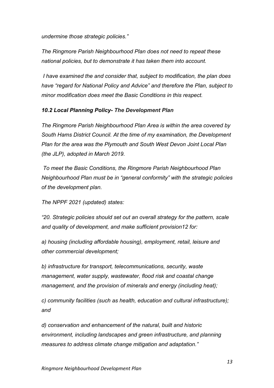*undermine those strategic policies."*

*The Ringmore Parish Neighbourhood Plan does not need to repeat these national policies, but to demonstrate it has taken them into account.*

*I have examined the and consider that, subject to modification, the plan does have "regard for National Policy and Advice" and therefore the Plan, subject to minor modification does meet the Basic Conditions in this respect.*

#### *10.2 Local Planning Policy- The Development Plan*

*The Ringmore Parish Neighbourhood Plan Area is within the area covered by South Hams District Council. At the time of my examination, the Development Plan for the area was the Plymouth and South West Devon Joint Local Plan (the JLP), adopted in March 2019.* 

*To meet the Basic Conditions, the Ringmore Parish Neighbourhood Plan Neighbourhood Plan must be in "general conformity" with the strategic policies of the development plan.* 

*The NPPF 2021 (updated) states:*

*"20. Strategic policies should set out an overall strategy for the pattern, scale and quality of development, and make sufficient provision12 for:*

*a) housing (including affordable housing), employment, retail, leisure and other commercial development;*

*b) infrastructure for transport, telecommunications, security, waste management, water supply, wastewater, flood risk and coastal change management, and the provision of minerals and energy (including heat);*

*c) community facilities (such as health, education and cultural infrastructure); and*

*d) conservation and enhancement of the natural, built and historic environment, including landscapes and green infrastructure, and planning measures to address climate change mitigation and adaptation."*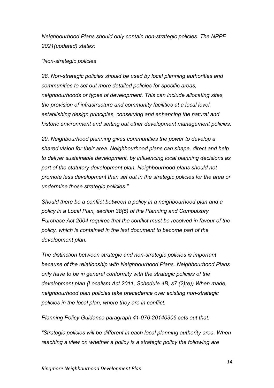*Neighbourhood Plans should only contain non-strategic policies. The NPPF 2021(updated) states:*

#### *"Non-strategic policies*

*28. Non-strategic policies should be used by local planning authorities and communities to set out more detailed policies for specific areas, neighbourhoods or types of development. This can include allocating sites, the provision of infrastructure and community facilities at a local level, establishing design principles, conserving and enhancing the natural and historic environment and setting out other development management policies.*

*29. Neighbourhood planning gives communities the power to develop a shared vision for their area. Neighbourhood plans can shape, direct and help to deliver sustainable development, by influencing local planning decisions as part of the statutory development plan. Neighbourhood plans should not promote less development than set out in the strategic policies for the area or undermine those strategic policies."*

*Should there be a conflict between a policy in a neighbourhood plan and a policy in a Local Plan, section 38(5) of the Planning and Compulsory Purchase Act 2004 requires that the conflict must be resolved in favour of the policy, which is contained in the last document to become part of the development plan.*

*The distinction between strategic and non-strategic policies is important because of the relationship with Neighbourhood Plans. Neighbourhood Plans only have to be in general conformity with the strategic policies of the development plan (Localism Act 2011, Schedule 4B, s7 (2)(e)) When made, neighbourhood plan policies take precedence over existing non-strategic policies in the local plan, where they are in conflict.*

*Planning Policy Guidance paragraph 41-076-20140306 sets out that:* 

*"Strategic policies will be different in each local planning authority area. When reaching a view on whether a policy is a strategic policy the following are*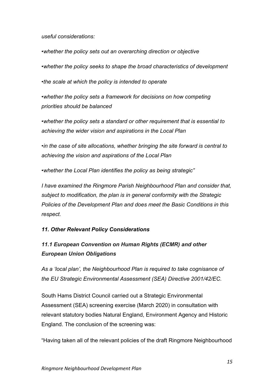*useful considerations:*

*•whether the policy sets out an overarching direction or objective*

*•whether the policy seeks to shape the broad characteristics of development*

*•the scale at which the policy is intended to operate*

*•whether the policy sets a framework for decisions on how competing priorities should be balanced*

*•whether the policy sets a standard or other requirement that is essential to achieving the wider vision and aspirations in the Local Plan*

*•in the case of site allocations, whether bringing the site forward is central to achieving the vision and aspirations of the Local Plan*

*•whether the Local Plan identifies the policy as being strategic"*

*I have examined the Ringmore Parish Neighbourhood Plan and consider that, subject to modification, the plan is in general conformity with the Strategic Policies of the Development Plan and does meet the Basic Conditions in this respect.*

## *11. Other Relevant Policy Considerations*

# *11.1 European Convention on Human Rights (ECMR) and other European Union Obligations*

*As a 'local plan', the Neighbourhood Plan is required to take cognisance of the EU Strategic Environmental Assessment (SEA) Directive 2001/42/EC.* 

South Hams District Council carried out a Strategic Environmental Assessment (SEA) screening exercise (March 2020) in consultation with relevant statutory bodies Natural England, Environment Agency and Historic England. The conclusion of the screening was:

"Having taken all of the relevant policies of the draft Ringmore Neighbourhood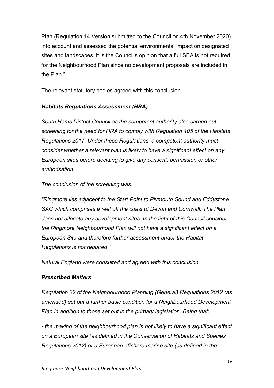Plan (Regulation 14 Version submitted to the Council on 4th November 2020) into account and assessed the potential environmental impact on designated sites and landscapes, it is the Council's opinion that a full SEA is not required for the Neighbourhood Plan since no development proposals are included in the Plan."

The relevant statutory bodies agreed with this conclusion.

## *Habitats Regulations Assessment (HRA)*

*South Hams District Council as the competent authority also carried out screening for the need for HRA to comply with Regulation 105 of the Habitats Regulations 2017. Under these Regulations, a competent authority must consider whether a relevant plan is likely to have a significant effect on any European sites before deciding to give any consent, permission or other authorisation.* 

*The conclusion of the screening was:*

*"Ringmore lies adjacent to the Start Point to Plymouth Sound and Eddystone SAC which comprises a reef off the coast of Devon and Cornwall. The Plan does not allocate any development sites. In the light of this Council consider the Ringmore Neighbourhood Plan will not have a significant effect on a European Site and therefore further assessment under the Habitat Regulations is not required."*

*Natural England were consulted and agreed with this conclusion.* 

## *Prescribed Matters*

*Regulation 32 of the Neighbourhood Planning (General) Regulations 2012 (as amended) set out a further basic condition for a Neighbourhood Development Plan in addition to those set out in the primary legislation. Being that:*

*• the making of the neighbourhood plan is not likely to have a significant effect on a European site (as defined in the Conservation of Habitats and Species Regulations 2012) or a European offshore marine site (as defined in the*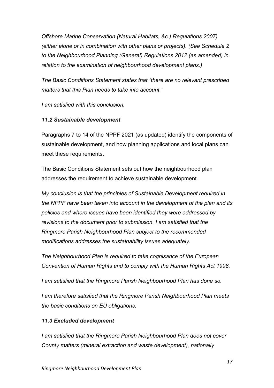*Offshore Marine Conservation (Natural Habitats, &c.) Regulations 2007) (either alone or in combination with other plans or projects). (See Schedule 2 to the Neighbourhood Planning (General) Regulations 2012 (as amended) in relation to the examination of neighbourhood development plans.)*

*The Basic Conditions Statement states that "there are no relevant prescribed matters that this Plan needs to take into account."*

*I am satisfied with this conclusion.*

## *11.2 Sustainable development*

Paragraphs 7 to 14 of the NPPF 2021 (as updated) identify the components of sustainable development, and how planning applications and local plans can meet these requirements.

The Basic Conditions Statement sets out how the neighbourhood plan addresses the requirement to achieve sustainable development.

*My conclusion is that the principles of Sustainable Development required in the NPPF have been taken into account in the development of the plan and its policies and where issues have been identified they were addressed by revisions to the document prior to submission. I am satisfied that the Ringmore Parish Neighbourhood Plan subject to the recommended modifications addresses the sustainability issues adequately.*

*The Neighbourhood Plan is required to take cognisance of the European Convention of Human Rights and to comply with the Human Rights Act 1998.* 

*I am satisfied that the Ringmore Parish Neighbourhood Plan has done so.*

*I am therefore satisfied that the Ringmore Parish Neighbourhood Plan meets the basic conditions on EU obligations.* 

## *11.3 Excluded development*

*I am satisfied that the Ringmore Parish Neighbourhood Plan does not cover County matters (mineral extraction and waste development), nationally*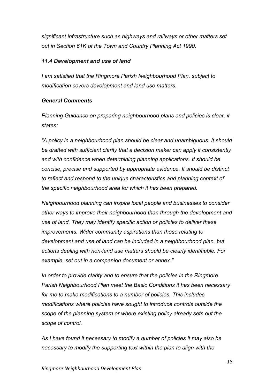*significant infrastructure such as highways and railways or other matters set out in Section 61K of the Town and Country Planning Act 1990.*

#### *11.4 Development and use of land*

*I am satisfied that the Ringmore Parish Neighbourhood Plan, subject to modification covers development and land use matters.*

#### *General Comments*

*Planning Guidance on preparing neighbourhood plans and policies is clear, it states:*

*"A policy in a neighbourhood plan should be clear and unambiguous. It should be drafted with sufficient clarity that a decision maker can apply it consistently and with confidence when determining planning applications. It should be concise, precise and supported by appropriate evidence. It should be distinct to reflect and respond to the unique characteristics and planning context of the specific neighbourhood area for which it has been prepared.*

*Neighbourhood planning can inspire local people and businesses to consider other ways to improve their neighbourhood than through the development and use of land. They may identify specific action or policies to deliver these improvements. Wider community aspirations than those relating to development and use of land can be included in a neighbourhood plan, but actions dealing with non-land use matters should be clearly identifiable. For example, set out in a companion document or annex."*

*In order to provide clarity and to ensure that the policies in the Ringmore Parish Neighbourhood Plan meet the Basic Conditions it has been necessary for me to make modifications to a number of policies. This includes modifications where policies have sought to introduce controls outside the scope of the planning system or where existing policy already sets out the scope of control.* 

*As I have found it necessary to modify a number of policies it may also be necessary to modify the supporting text within the plan to align with the*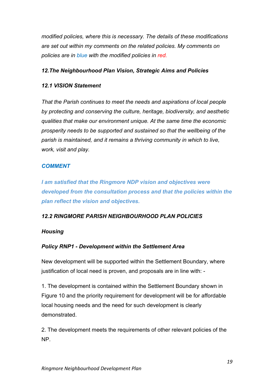*modified policies, where this is necessary. The details of these modifications are set out within my comments on the related policies. My comments on policies are in blue with the modified policies in red.*

## *12.The Neighbourhood Plan Vision, Strategic Aims and Policies*

## *12.1 VISION Statement*

*That the Parish continues to meet the needs and aspirations of local people by protecting and conserving the culture, heritage, biodiversity, and aesthetic qualities that make our environment unique. At the same time the economic prosperity needs to be supported and sustained so that the wellbeing of the parish is maintained, and it remains a thriving community in which to live, work, visit and play.*

## *COMMENT*

*I am satisfied that the Ringmore NDP vision and objectives were developed from the consultation process and that the policies within the plan reflect the vision and objectives.*

## *12.2 RINGMORE PARISH NEIGHBOURHOOD PLAN POLICIES*

## *Housing*

## *Policy RNP1 - Development within the Settlement Area*

New development will be supported within the Settlement Boundary, where justification of local need is proven, and proposals are in line with: -

1. The development is contained within the Settlement Boundary shown in Figure 10 and the priority requirement for development will be for affordable local housing needs and the need for such development is clearly demonstrated.

2. The development meets the requirements of other relevant policies of the NP.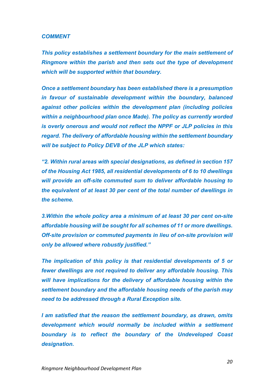#### *COMMENT*

*This policy establishes a settlement boundary for the main settlement of Ringmore within the parish and then sets out the type of development which will be supported within that boundary.* 

*Once a settlement boundary has been established there is a presumption in favour of sustainable development within the boundary, balanced against other policies within the development plan (including policies within a neighbourhood plan once Made). The policy as currently worded is overly onerous and would not reflect the NPPF or JLP policies in this regard. The delivery of affordable housing within the settlement boundary will be subject to Policy DEV8 of the JLP which states:*

*"2. Within rural areas with special designations, as defined in section 157 of the Housing Act 1985, all residential developments of 6 to 10 dwellings will provide an off-site commuted sum to deliver affordable housing to the equivalent of at least 30 per cent of the total number of dwellings in the scheme.*

*3.Within the whole policy area a minimum of at least 30 per cent on-site affordable housing will be sought for all schemes of 11 or more dwellings. Off-site provision or commuted payments in lieu of on-site provision will only be allowed where robustly justified."*

*The implication of this policy is that residential developments of 5 or fewer dwellings are not required to deliver any affordable housing. This will have implications for the delivery of affordable housing within the settlement boundary and the affordable housing needs of the parish may need to be addressed through a Rural Exception site.*

*I am satisfied that the reason the settlement boundary, as drawn, omits development which would normally be included within a settlement boundary is to reflect the boundary of the Undeveloped Coast designation.*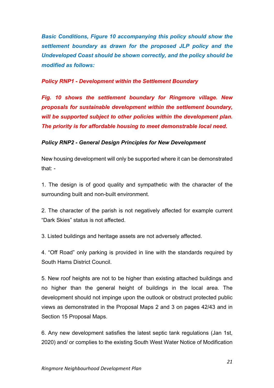*Basic Conditions, Figure 10 accompanying this policy should show the settlement boundary as drawn for the proposed JLP policy and the Undeveloped Coast should be shown correctly, and the policy should be modified as follows:*

#### *Policy RNP1 - Development within the Settlement Boundary*

*Fig. 10 shows the settlement boundary for Ringmore village. New proposals for sustainable development within the settlement boundary, will be supported subject to other policies within the development plan. The priority is for affordable housing to meet demonstrable local need.* 

#### *Policy RNP2 - General Design Principles for New Development*

New housing development will only be supported where it can be demonstrated that: -

1. The design is of good quality and sympathetic with the character of the surrounding built and non-built environment.

2. The character of the parish is not negatively affected for example current "Dark Skies" status is not affected.

3. Listed buildings and heritage assets are not adversely affected.

4. "Off Road" only parking is provided in line with the standards required by South Hams District Council.

5. New roof heights are not to be higher than existing attached buildings and no higher than the general height of buildings in the local area. The development should not impinge upon the outlook or obstruct protected public views as demonstrated in the Proposal Maps 2 and 3 on pages 42/43 and in Section 15 Proposal Maps.

6. Any new development satisfies the latest septic tank regulations (Jan 1st, 2020) and/ or complies to the existing South West Water Notice of Modification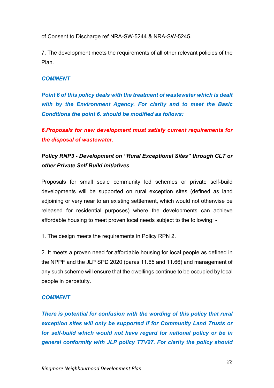of Consent to Discharge ref NRA-SW-5244 & NRA-SW-5245.

7. The development meets the requirements of all other relevant policies of the Plan.

#### *COMMENT*

*Point 6 of this policy deals with the treatment of wastewater which is dealt with by the Environment Agency. For clarity and to meet the Basic Conditions the point 6. should be modified as follows:*

*6.Proposals for new development must satisfy current requirements for the disposal of wastewater.*

# *Policy RNP3 - Development on "Rural Exceptional Sites" through CLT or other Private Self Build initiatives*

Proposals for small scale community led schemes or private self-build developments will be supported on rural exception sites (defined as land adjoining or very near to an existing settlement, which would not otherwise be released for residential purposes) where the developments can achieve affordable housing to meet proven local needs subject to the following: -

1. The design meets the requirements in Policy RPN 2.

2. It meets a proven need for affordable housing for local people as defined in the NPPF and the JLP SPD 2020 (paras 11.65 and 11.66) and management of any such scheme will ensure that the dwellings continue to be occupied by local people in perpetuity.

## *COMMENT*

*There is potential for confusion with the wording of this policy that rural exception sites will only be supported if for Community Land Trusts or for self-build which would not have regard for national policy or be in general conformity with JLP policy TTV27. For clarity the policy should*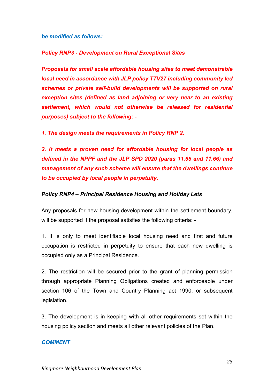*be modified as follows:*

#### *Policy RNP3 - Development on Rural Exceptional Sites*

*Proposals for small scale affordable housing sites to meet demonstrable local need in accordance with JLP policy TTV27 including community led schemes or private self-build developments will be supported on rural exception sites (defined as land adjoining or very near to an existing settlement, which would not otherwise be released for residential purposes) subject to the following: -*

*1. The design meets the requirements in Policy RNP 2.*

*2. It meets a proven need for affordable housing for local people as defined in the NPPF and the JLP SPD 2020 (paras 11.65 and 11.66) and management of any such scheme will ensure that the dwellings continue to be occupied by local people in perpetuity.*

#### *Policy RNP4 – Principal Residence Housing and Holiday Lets*

Any proposals for new housing development within the settlement boundary, will be supported if the proposal satisfies the following criteria: -

1. It is only to meet identifiable local housing need and first and future occupation is restricted in perpetuity to ensure that each new dwelling is occupied only as a Principal Residence.

2. The restriction will be secured prior to the grant of planning permission through appropriate Planning Obligations created and enforceable under section 106 of the Town and Country Planning act 1990, or subsequent legislation.

3. The development is in keeping with all other requirements set within the housing policy section and meets all other relevant policies of the Plan.

#### *COMMENT*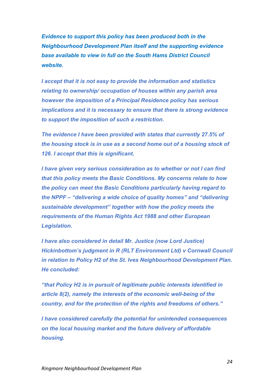*Evidence to support this policy has been produced both in the Neighbourhood Development Plan itself and the supporting evidence base available to view in full on the South Hams District Council website.*

*I accept that it is not easy to provide the information and statistics relating to ownership/ occupation of houses within any parish area however the imposition of a Principal Residence policy has serious implications and it is necessary to ensure that there is strong evidence to support the imposition of such a restriction.*

*The evidence I have been provided with states that currently 27.5% of the housing stock is in use as a second home out of a housing stock of 126. I accept that this is significant.* 

*I have given very serious consideration as to whether or not I can find that this policy meets the Basic Conditions. My concerns relate to how the policy can meet the Basic Conditions particularly having regard to the NPPF – "delivering a wide choice of quality homes" and "delivering sustainable development" together with how the policy meets the requirements of the Human Rights Act 1988 and other European Legislation.* 

*I have also considered in detail Mr. Justice (now Lord Justice) Hickinbottom's judgment in R (RLT Environment Ltd) v Cornwall Council in relation to Policy H2 of the St. Ives Neighbourhood Development Plan. He concluded:*

*"that Policy H2 is in pursuit of legitimate public interests identified in article 8(2), namely the interests of the economic well-being of the country, and for the protection of the rights and freedoms of others."*

*I have considered carefully the potential for unintended consequences on the local housing market and the future delivery of affordable housing.*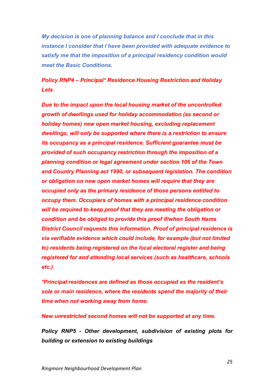*My decision is one of planning balance and I conclude that in this instance I consider that I have been provided with adequate evidence to satisfy me that the imposition of a principal residency condition would meet the Basic Conditions.*

# *Policy RNP4 – Principal\* Residence Housing Restriction and Holiday Lets*

*Due to the impact upon the local housing market of the uncontrolled growth of dwellings used for holiday accommodation (as second or holiday homes) new open market housing, excluding replacement dwellings, will only be supported where there is a restriction to ensure its occupancy as a principal residence. Sufficient guarantee must be provided of such occupancy restriction through the imposition of a planning condition or legal agreement under section 106 of the Town and Country Planning act 1990, or subsequent legislation. The condition or obligation on new open market homes will require that they are occupied only as the primary residence of those persons entitled to occupy them. Occupiers of homes with a principal residence condition will be required to keep proof that they are meeting the obligation or condition and be obliged to provide this proof if/when South Hams District Council requests this information. Proof of principal residence is via verifiable evidence which could include, for example (but not limited to) residents being registered on the local electoral register and being registered for and attending local services (such as healthcare, schools etc.).* 

*\*Principal residences are defined as those occupied as the resident's sole or main residence, where the residents spend the majority of their time when not working away from home.* 

*New unrestricted second homes will not be supported at any time.*

*Policy RNP5 - Other development, subdivision of existing plots for building or extension to existing buildings*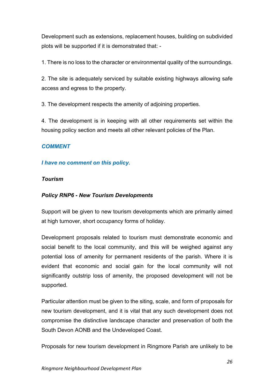Development such as extensions, replacement houses, building on subdivided plots will be supported if it is demonstrated that: -

1. There is no loss to the character or environmental quality of the surroundings.

2. The site is adequately serviced by suitable existing highways allowing safe access and egress to the property.

3. The development respects the amenity of adjoining properties.

4. The development is in keeping with all other requirements set within the housing policy section and meets all other relevant policies of the Plan.

## *COMMENT*

## *I have no comment on this policy.*

## *Tourism*

## *Policy RNP6 - New Tourism Developments*

Support will be given to new tourism developments which are primarily aimed at high turnover, short occupancy forms of holiday.

Development proposals related to tourism must demonstrate economic and social benefit to the local community, and this will be weighed against any potential loss of amenity for permanent residents of the parish. Where it is evident that economic and social gain for the local community will not significantly outstrip loss of amenity, the proposed development will not be supported.

Particular attention must be given to the siting, scale, and form of proposals for new tourism development, and it is vital that any such development does not compromise the distinctive landscape character and preservation of both the South Devon AONB and the Undeveloped Coast.

Proposals for new tourism development in Ringmore Parish are unlikely to be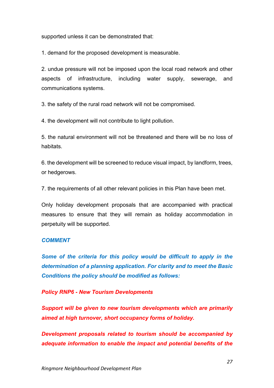supported unless it can be demonstrated that:

1. demand for the proposed development is measurable.

2. undue pressure will not be imposed upon the local road network and other aspects of infrastructure, including water supply, sewerage, and communications systems.

3. the safety of the rural road network will not be compromised.

4. the development will not contribute to light pollution.

5. the natural environment will not be threatened and there will be no loss of habitats.

6. the development will be screened to reduce visual impact, by landform, trees, or hedgerows.

7. the requirements of all other relevant policies in this Plan have been met.

Only holiday development proposals that are accompanied with practical measures to ensure that they will remain as holiday accommodation in perpetuity will be supported.

#### *COMMENT*

*Some of the criteria for this policy would be difficult to apply in the determination of a planning application. For clarity and to meet the Basic Conditions the policy should be modified as follows:*

*Policy RNP6 - New Tourism Developments*

*Support will be given to new tourism developments which are primarily aimed at high turnover, short occupancy forms of holiday.*

*Development proposals related to tourism should be accompanied by adequate information to enable the impact and potential benefits of the*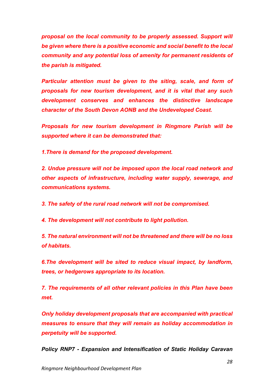*proposal on the local community to be properly assessed. Support will be given where there is a positive economic and social benefit to the local community and any potential loss of amenity for permanent residents of the parish is mitigated.* 

*Particular attention must be given to the siting, scale, and form of proposals for new tourism development, and it is vital that any such development conserves and enhances the distinctive landscape character of the South Devon AONB and the Undeveloped Coast.*

*Proposals for new tourism development in Ringmore Parish will be supported where it can be demonstrated that:*

*1.There is demand for the proposed development.*

*2. Undue pressure will not be imposed upon the local road network and other aspects of infrastructure, including water supply, sewerage, and communications systems.*

*3. The safety of the rural road network will not be compromised.*

*4. The development will not contribute to light pollution.*

*5. The natural environment will not be threatened and there will be no loss of habitats.*

*6.The development will be sited to reduce visual impact, by landform, trees, or hedgerows appropriate to its location.*

*7. The requirements of all other relevant policies in this Plan have been met.*

*Only holiday development proposals that are accompanied with practical measures to ensure that they will remain as holiday accommodation in perpetuity will be supported.*

*Policy RNP7 - Expansion and Intensification of Static Holiday Caravan*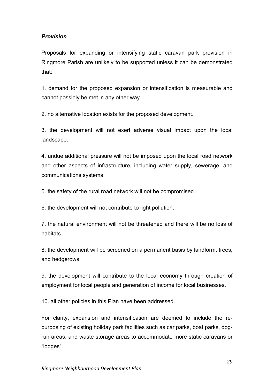## *Provision*

Proposals for expanding or intensifying static caravan park provision in Ringmore Parish are unlikely to be supported unless it can be demonstrated that:

1. demand for the proposed expansion or intensification is measurable and cannot possibly be met in any other way.

2. no alternative location exists for the proposed development.

3. the development will not exert adverse visual impact upon the local landscape.

4. undue additional pressure will not be imposed upon the local road network and other aspects of infrastructure, including water supply, sewerage, and communications systems.

5. the safety of the rural road network will not be compromised.

6. the development will not contribute to light pollution.

7. the natural environment will not be threatened and there will be no loss of habitats.

8. the development will be screened on a permanent basis by landform, trees, and hedgerows.

9. the development will contribute to the local economy through creation of employment for local people and generation of income for local businesses.

10. all other policies in this Plan have been addressed.

For clarity, expansion and intensification are deemed to include the repurposing of existing holiday park facilities such as car parks, boat parks, dogrun areas, and waste storage areas to accommodate more static caravans or "lodges".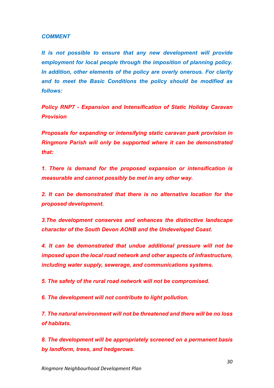#### *COMMENT*

*It is not possible to ensure that any new development will provide employment for local people through the imposition of planning policy. In addition, other elements of the policy are overly onerous. For clarity and to meet the Basic Conditions the policy should be modified as follows:*

*Policy RNP7 - Expansion and Intensification of Static Holiday Caravan Provision*

*Proposals for expanding or intensifying static caravan park provision in Ringmore Parish will only be supported where it can be demonstrated that:*

*1. There is demand for the proposed expansion or intensification is measurable and cannot possibly be met in any other way.*

*2. It can be demonstrated that there is no alternative location for the proposed development.*

*3.The development conserves and enhances the distinctive landscape character of the South Devon AONB and the Undeveloped Coast.*

*4. It can be demonstrated that undue additional pressure will not be imposed upon the local road network and other aspects of infrastructure, including water supply, sewerage, and communications systems.*

*5. The safety of the rural road network will not be compromised.*

*6. The development will not contribute to light pollution.*

*7. The natural environment will not be threatened and there will be no loss of habitats.*

*8. The development will be appropriately screened on a permanent basis by landform, trees, and hedgerows.*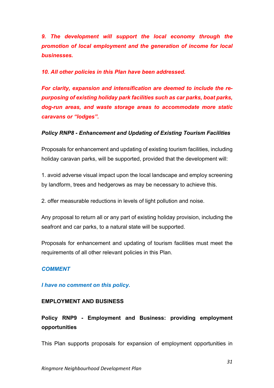*9. The development will support the local economy through the promotion of local employment and the generation of income for local businesses.*

*10. All other policies in this Plan have been addressed.*

*For clarity, expansion and intensification are deemed to include the repurposing of existing holiday park facilities such as car parks, boat parks, dog-run areas, and waste storage areas to accommodate more static caravans or "lodges".*

## *Policy RNP8 - Enhancement and Updating of Existing Tourism Facilities*

Proposals for enhancement and updating of existing tourism facilities, including holiday caravan parks, will be supported, provided that the development will:

1. avoid adverse visual impact upon the local landscape and employ screening by landform, trees and hedgerows as may be necessary to achieve this.

2. offer measurable reductions in levels of light pollution and noise.

Any proposal to return all or any part of existing holiday provision, including the seafront and car parks, to a natural state will be supported.

Proposals for enhancement and updating of tourism facilities must meet the requirements of all other relevant policies in this Plan.

## *COMMENT*

#### *I have no comment on this policy.*

#### **EMPLOYMENT AND BUSINESS**

# **Policy RNP9 - Employment and Business: providing employment opportunities**

This Plan supports proposals for expansion of employment opportunities in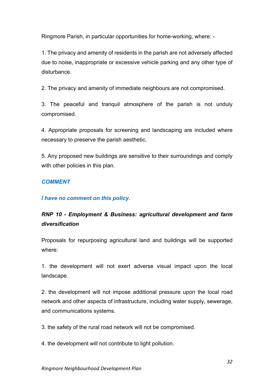Ringmore Parish, in particular opportunities for home-working, where: -

1. The privacy and amenity of residents in the parish are not adversely affected due to noise, inappropriate or excessive vehicle parking and any other type of disturbance.

2. The privacy and amenity of immediate neighbours are not compromised.

3. The peaceful and tranquil atmosphere of the parish is not unduly compromised.

4. Appropriate proposals for screening and landscaping are included where necessary to preserve the parish aesthetic.

5. Any proposed new buildings are sensitive to their surroundings and comply with other policies in this plan.

## *COMMENT*

#### *I have no comment on this policy.*

# *RNP 10 - Employment & Business: agricultural development and farm diversification*

Proposals for repurposing agricultural land and buildings will be supported where:

1. the development will not exert adverse visual impact upon the local landscape.

2. the development will not impose additional pressure upon the local road network and other aspects of infrastructure, including water supply, sewerage, and communications systems.

3. the safety of the rural road network will not be compromised.

4. the development will not contribute to light pollution.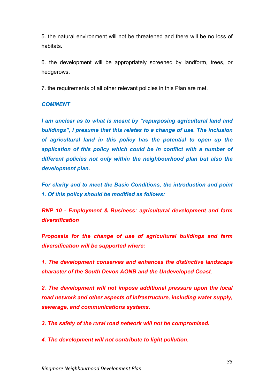5. the natural environment will not be threatened and there will be no loss of habitats.

6. the development will be appropriately screened by landform, trees, or hedgerows.

7. the requirements of all other relevant policies in this Plan are met.

## *COMMENT*

*I am unclear as to what is meant by "repurposing agricultural land and buildings", I presume that this relates to a change of use. The inclusion of agricultural land in this policy has the potential to open up the application of this policy which could be in conflict with a number of different policies not only within the neighbourhood plan but also the development plan.*

*For clarity and to meet the Basic Conditions, the introduction and point 1. Of this policy should be modified as follows:* 

*RNP 10 - Employment & Business: agricultural development and farm diversification*

*Proposals for the change of use of agricultural buildings and farm diversification will be supported where:*

*1. The development conserves and enhances the distinctive landscape character of the South Devon AONB and the Undeveloped Coast.*

*2. The development will not impose additional pressure upon the local road network and other aspects of infrastructure, including water supply, sewerage, and communications systems.*

*3. The safety of the rural road network will not be compromised.*

*4. The development will not contribute to light pollution.*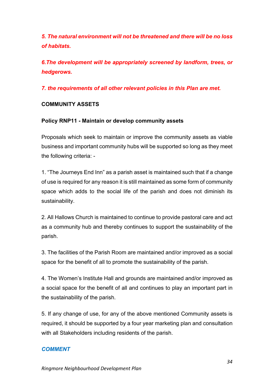*5. The natural environment will not be threatened and there will be no loss of habitats.*

*6.The development will be appropriately screened by landform, trees, or hedgerows.*

*7. the requirements of all other relevant policies in this Plan are met.*

## **COMMUNITY ASSETS**

## **Policy RNP11 - Maintain or develop community assets**

Proposals which seek to maintain or improve the community assets as viable business and important community hubs will be supported so long as they meet the following criteria: -

1. "The Journeys End Inn" as a parish asset is maintained such that if a change of use is required for any reason it is still maintained as some form of community space which adds to the social life of the parish and does not diminish its sustainability.

2. All Hallows Church is maintained to continue to provide pastoral care and act as a community hub and thereby continues to support the sustainability of the parish.

3. The facilities of the Parish Room are maintained and/or improved as a social space for the benefit of all to promote the sustainability of the parish.

4. The Women's Institute Hall and grounds are maintained and/or improved as a social space for the benefit of all and continues to play an important part in the sustainability of the parish.

5. If any change of use, for any of the above mentioned Community assets is required, it should be supported by a four year marketing plan and consultation with all Stakeholders including residents of the parish.

## *COMMENT*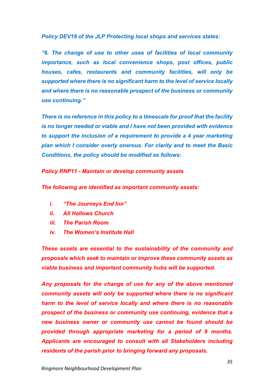*Policy DEV18 of the JLP Protecting local shops and services states:*

*"6. The change of use to other uses of facilities of local community importance, such as local convenience shops, post offices, public houses, cafes, restaurants and community facilities, will only be supported where there is no significant harm to the level of service locally and where there is no reasonable prospect of the business or community use continuing."*

*There is no reference in this policy to a timescale for proof that the facility is no longer needed or viable and I have not been provided with evidence to support the inclusion of a requirement to provide a 4 year marketing plan which I consider overly onerous. For clarity and to meet the Basic Conditions, the policy should be modified as follows:*

*Policy RNP11 - Maintain or develop community assets*

*The following are identified as important community assets:*

- *i. "The Journeys End Inn"*
- *ii. All Hallows Church*
- *iii. The Parish Room*
- *iv. The Women's Institute Hall*

*These assets are essential to the sustainability of the community and proposals which seek to maintain or improve these community assets as viable business and important community hubs will be supported.*

*Any proposals for the change of use for any of the above mentioned community assets will only be supported where there is no significant harm to the level of service locally and where there is no reasonable prospect of the business or community use continuing, evidence that a new business owner or community use cannot be found should be provided through appropriate marketing for a period of 9 months. Applicants are encouraged to consult with all Stakeholders including residents of the parish prior to bringing forward any proposals.*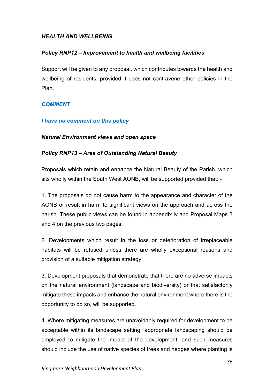## *HEALTH AND WELLBEING*

#### *Policy RNP12 – Improvement to health and wellbeing facilities*

Support will be given to any proposal, which contributes towards the health and wellbeing of residents, provided it does not contravene other policies in the Plan.

#### *COMMENT*

#### *I have no comment on this policy*

#### *Natural Environment views and open space*

#### *Policy RNP13 – Area of Outstanding Natural Beauty*

Proposals which retain and enhance the Natural Beauty of the Parish, which sits wholly within the South West AONB, will be supported provided that: -

1. The proposals do not cause harm to the appearance and character of the AONB or result in harm to significant views on the approach and across the parish. These public views can be found in appendix iv and Proposal Maps 3 and 4 on the previous two pages.

2. Developments which result in the loss or deterioration of irreplaceable habitats will be refused unless there are wholly exceptional reasons and provision of a suitable mitigation strategy.

3. Development proposals that demonstrate that there are no adverse impacts on the natural environment (landscape and biodiversity) or that satisfactorily mitigate these impacts and enhance the natural environment where there is the opportunity to do so, will be supported.

4. Where mitigating measures are unavoidably required for development to be acceptable within its landscape setting, appropriate landscaping should be employed to mitigate the impact of the development, and such measures should include the use of native species of trees and hedges where planting is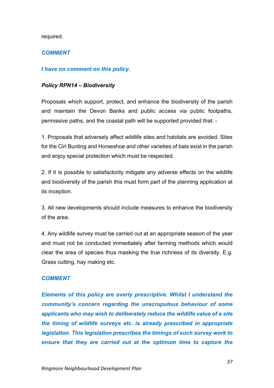required.

## *COMMENT*

#### *I have no comment on this policy.*

#### *Policy RPN14 – Biodiversity*

Proposals which support, protect, and enhance the biodiversity of the parish and maintain the Devon Banks and public access via public footpaths, permissive paths, and the coastal path will be supported provided that: -

1. Proposals that adversely affect wildlife sites and habitats are avoided. Sites for the Cirl Bunting and Horseshoe and other varieties of bats exist in the parish and enjoy special protection which must be respected.

2. If it is possible to satisfactorily mitigate any adverse effects on the wildlife and biodiversity of the parish this must form part of the planning application at its inception.

3. All new developments should include measures to enhance the biodiversity of the area.

4. Any wildlife survey must be carried out at an appropriate season of the year and must not be conducted immediately after farming methods which would clear the area of species thus masking the true richness of its diversity. E.g. Grass cutting, hay making etc.

#### *COMMENT*

*Elements of this policy are overly prescriptive. Whilst I understand the community's concern regarding the unscrupulous behaviour of some applicants who may wish to deliberately reduce the wildlife value of a site the timing of wildlife surveys etc. is already prescribed in appropriate legislation. This legislation prescribes the timings of such survey work to ensure that they are carried out at the optimum time to capture the*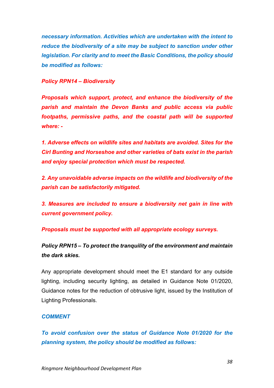*necessary information. Activities which are undertaken with the intent to reduce the biodiversity of a site may be subject to sanction under other legislation. For clarity and to meet the Basic Conditions, the policy should be modified as follows:*

#### *Policy RPN14 – Biodiversity*

*Proposals which support, protect, and enhance the biodiversity of the parish and maintain the Devon Banks and public access via public footpaths, permissive paths, and the coastal path will be supported where: -*

*1. Adverse effects on wildlife sites and habitats are avoided. Sites for the Cirl Bunting and Horseshoe and other varieties of bats exist in the parish and enjoy special protection which must be respected.*

*2. Any unavoidable adverse impacts on the wildlife and biodiversity of the parish can be satisfactorily mitigated.*

*3. Measures are included to ensure a biodiversity net gain in line with current government policy.*

*Proposals must be supported with all appropriate ecology surveys.* 

*Policy RPN15 – To protect the tranquility of the environment and maintain the dark skies.*

Any appropriate development should meet the E1 standard for any outside lighting, including security lighting, as detailed in Guidance Note 01/2020, Guidance notes for the reduction of obtrusive light, issued by the Institution of Lighting Professionals.

#### *COMMENT*

*To avoid confusion over the status of Guidance Note 01/2020 for the planning system, the policy should be modified as follows:*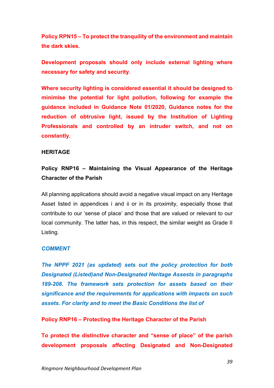**Policy RPN15 – To protect the tranquility of the environment and maintain the dark skies.**

**Development proposals should only include external lighting where necessary for safety and security.** 

**Where security lighting is considered essential it should be designed to minimise the potential for light pollution, following for example the guidance included in Guidance Note 01/2020, Guidance notes for the reduction of obtrusive light, issued by the Institution of Lighting Professionals and controlled by an intruder switch, and not on constantly.** 

#### **HERITAGE**

## **Policy RNP16 – Maintaining the Visual Appearance of the Heritage Character of the Parish**

All planning applications should avoid a negative visual impact on any Heritage Asset listed in appendices i and ii or in its proximity, especially those that contribute to our 'sense of place' and those that are valued or relevant to our local community. The latter has, in this respect, the similar weight as Grade II Listing.

#### *COMMENT*

*The NPPF 2021 (as updated) sets out the policy protection for both Designated (Listed)and Non-Designated Heritage Assests in paragraphs 189-208. The framework sets protection for assets based on their significance and the requirements for applications with impacts on such assets. For clarity and to meet the Basic Conditions the list of* 

**Policy RNP16 – Protecting the Heritage Character of the Parish**

**To protect the distinctive character and "sense of place" of the parish development proposals affecting Designated and Non-Designated**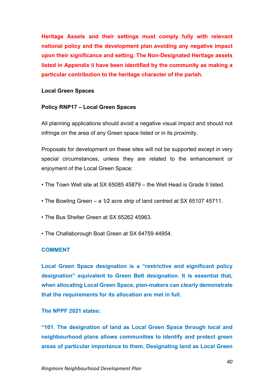**Heritage Assets and their settings must comply fully with relevant national policy and the development plan avoiding any negative impact upon their significance and setting. The Non-Designated Heritage assets listed in Appendix ii have been identified by the community as making a particular contribution to the heritage character of the parish.**

#### **Local Green Spaces**

#### **Policy RNP17 – Local Green Spaces**

All planning applications should avoid a negative visual impact and should not infringe on the area of any Green space listed or in its proximity.

Proposals for development on these sites will not be supported except in very special circumstances, unless they are related to the enhancement or enjoyment of the Local Green Space:

- The Town Well site at SX 65085 45879 the Well Head is Grade II listed.
- The Bowling Green a 1/2 acre strip of land centred at SX 65107 45711.
- The Bus Shelter Green at SX 65262 45963.
- The Challaborough Boat Green at SX 64759 44954.

#### **COMMENT**

**Local Green Space designation is a "restrictive and significant policy designation" equivalent to Green Belt designation. It is essential that, when allocating Local Green Space, plan-makers can clearly demonstrate that the requirements for its allocation are met in full.**

#### **The NPPF 2021 states:**

**"101. The designation of land as Local Green Space through local and neighbourhood plans allows communities to identify and protect green areas of particular importance to them. Designating land as Local Green**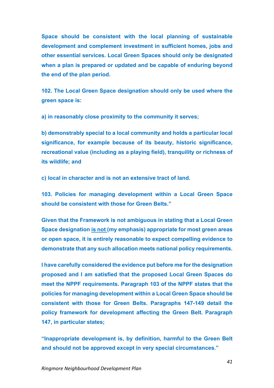**Space should be consistent with the local planning of sustainable development and complement investment in sufficient homes, jobs and other essential services. Local Green Spaces should only be designated when a plan is prepared or updated and be capable of enduring beyond the end of the plan period.**

**102. The Local Green Space designation should only be used where the green space is:**

**a) in reasonably close proximity to the community it serves;**

**b) demonstrably special to a local community and holds a particular local significance, for example because of its beauty, historic significance, recreational value (including as a playing field), tranquility or richness of its wildlife; and**

**c) local in character and is not an extensive tract of land.**

**103. Policies for managing development within a Local Green Space should be consistent with those for Green Belts."**

**Given that the Framework is not ambiguous in stating that a Local Green Space designation is not (my emphasis) appropriate for most green areas or open space, it is entirely reasonable to expect compelling evidence to demonstrate that any such allocation meets national policy requirements.**

**I have carefully considered the evidence put before me for the designation proposed and I am satisfied that the proposed Local Green Spaces do meet the NPPF requirements. Paragraph 103 of the NPPF states that the policies for managing development within a Local Green Space should be consistent with those for Green Belts. Paragraphs 147-149 detail the policy framework for development affecting the Green Belt. Paragraph 147, in particular states;**

**"Inappropriate development is, by definition, harmful to the Green Belt and should not be approved except in very special circumstances."**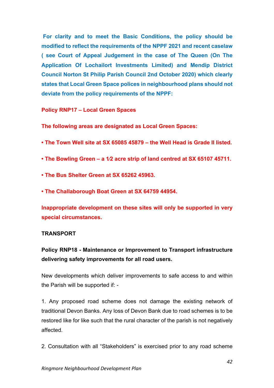**For clarity and to meet the Basic Conditions, the policy should be modified to reflect the requirements of the NPPF 2021 and recent caselaw ( see Court of Appeal Judgement in the case of The Queen (On The Application Of Lochailort Investments Limited) and Mendip District Council Norton St Philip Parish Council 2nd October 2020) which clearly states that Local Green Space polices in neighbourhood plans should not deviate from the policy requirements of the NPPF:**

**Policy RNP17 – Local Green Spaces**

**The following areas are designated as Local Green Spaces:**

- **The Town Well site at SX 65085 45879 – the Well Head is Grade II listed.**
- **The Bowling Green – a 1⁄2 acre strip of land centred at SX 65107 45711.**
- **The Bus Shelter Green at SX 65262 45963.**
- **The Challaborough Boat Green at SX 64759 44954.**

**Inappropriate development on these sites will only be supported in very special circumstances.**

## **TRANSPORT**

# **Policy RNP18 - Maintenance or Improvement to Transport infrastructure delivering safety improvements for all road users.**

New developments which deliver improvements to safe access to and within the Parish will be supported if: -

1. Any proposed road scheme does not damage the existing network of traditional Devon Banks. Any loss of Devon Bank due to road schemes is to be restored like for like such that the rural character of the parish is not negatively affected.

2. Consultation with all "Stakeholders" is exercised prior to any road scheme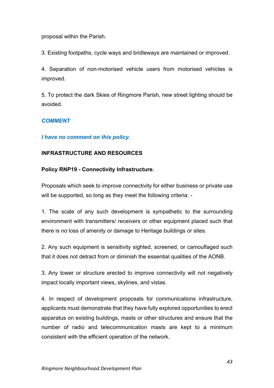proposal within the Parish.

3. Existing footpaths, cycle ways and bridleways are maintained or improved.

4. Separation of non-motorised vehicle users from motorised vehicles is improved.

5. To protect the dark Skies of Ringmore Parish, new street lighting should be avoided.

## *COMMENT*

#### *I have no comment on this policy.*

#### **INFRASTRUCTURE AND RESOURCES**

#### **Policy RNP19 - Connectivity Infrastructure.**

Proposals which seek to improve connectivity for either business or private use will be supported, so long as they meet the following criteria: -

1. The scale of any such development is sympathetic to the surrounding environment with transmitters/ receivers or other equipment placed such that there is no loss of amenity or damage to Heritage buildings or sites.

2. Any such equipment is sensitivity sighted, screened, or camouflaged such that it does not detract from or diminish the essential qualities of the AONB.

3. Any tower or structure erected to improve connectivity will not negatively impact locally important views, skylines, and vistas.

4. In respect of development proposals for communications infrastructure, applicants must demonstrate that they have fully explored opportunities to erect apparatus on existing buildings, masts or other structures and ensure that the number of radio and telecommunication masts are kept to a minimum consistent with the efficient operation of the network.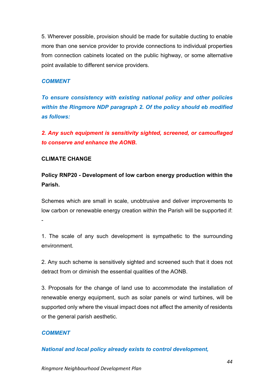5. Wherever possible, provision should be made for suitable ducting to enable more than one service provider to provide connections to individual properties from connection cabinets located on the public highway, or some alternative point available to different service providers.

#### *COMMENT*

*To ensure consistency with existing national policy and other policies within the Ringmore NDP paragraph 2. Of the policy should eb modified as follows:*

*2. Any such equipment is sensitivity sighted, screened, or camouflaged to conserve and enhance the AONB.*

#### **CLIMATE CHANGE**

**Policy RNP20 - Development of low carbon energy production within the Parish.**

Schemes which are small in scale, unobtrusive and deliver improvements to low carbon or renewable energy creation within the Parish will be supported if: -

1. The scale of any such development is sympathetic to the surrounding environment.

2. Any such scheme is sensitively sighted and screened such that it does not detract from or diminish the essential qualities of the AONB.

3. Proposals for the change of land use to accommodate the installation of renewable energy equipment, such as solar panels or wind turbines, will be supported only where the visual impact does not affect the amenity of residents or the general parish aesthetic.

#### *COMMENT*

*National and local policy already exists to control development,*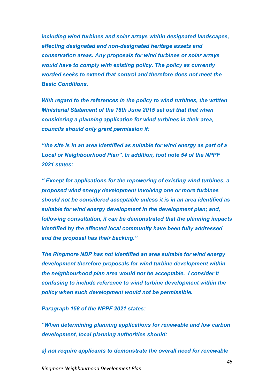*including wind turbines and solar arrays within designated landscapes, effecting designated and non-designated heritage assets and conservation areas. Any proposals for wind turbines or solar arrays would have to comply with existing policy. The policy as currently worded seeks to extend that control and therefore does not meet the Basic Conditions.* 

*With regard to the references in the policy to wind turbines, the written Ministerial Statement of the 18th June 2015 set out that that when considering a planning application for wind turbines in their area, councils should only grant permission if:*

*"the site is in an area identified as suitable for wind energy as part of a Local or Neighbourhood Plan". In addition, foot note 54 of the NPPF 2021 states:*

*" Except for applications for the repowering of existing wind turbines, a proposed wind energy development involving one or more turbines should not be considered acceptable unless it is in an area identified as suitable for wind energy development in the development plan; and, following consultation, it can be demonstrated that the planning impacts identified by the affected local community have been fully addressed and the proposal has their backing."*

*The Ringmore NDP has not identified an area suitable for wind energy development therefore proposals for wind turbine development within the neighbourhood plan area would not be acceptable. I consider it confusing to include reference to wind turbine development within the policy when such development would not be permissible.*

*Paragraph 158 of the NPPF 2021 states:*

*"When determining planning applications for renewable and low carbon development, local planning authorities should:*

*a) not require applicants to demonstrate the overall need for renewable*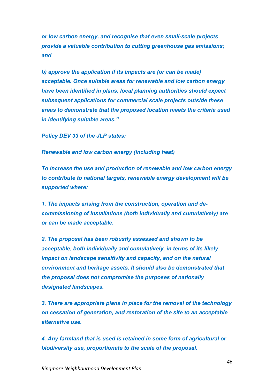*or low carbon energy, and recognise that even small-scale projects provide a valuable contribution to cutting greenhouse gas emissions; and*

*b) approve the application if its impacts are (or can be made) acceptable. Once suitable areas for renewable and low carbon energy have been identified in plans, local planning authorities should expect subsequent applications for commercial scale projects outside these areas to demonstrate that the proposed location meets the criteria used in identifying suitable areas."*

*Policy DEV 33 of the JLP states:*

*Renewable and low carbon energy (including heat)*

*To increase the use and production of renewable and low carbon energy to contribute to national targets, renewable energy development will be supported where:*

*1. The impacts arising from the construction, operation and decommissioning of installations (both individually and cumulatively) are or can be made acceptable.*

*2. The proposal has been robustly assessed and shown to be acceptable, both individually and cumulatively, in terms of its likely impact on landscape sensitivity and capacity, and on the natural environment and heritage assets. It should also be demonstrated that the proposal does not compromise the purposes of nationally designated landscapes.*

*3. There are appropriate plans in place for the removal of the technology on cessation of generation, and restoration of the site to an acceptable alternative use.*

*4. Any farmland that is used is retained in some form of agricultural or biodiversity use, proportionate to the scale of the proposal.*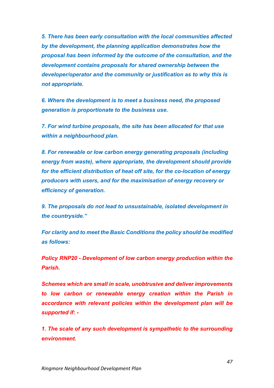*5. There has been early consultation with the local communities affected by the development, the planning application demonstrates how the proposal has been informed by the outcome of the consultation, and the development contains proposals for shared ownership between the developer/operator and the community or justification as to why this is not appropriate.*

*6. Where the development is to meet a business need, the proposed generation is proportionate to the business use.*

*7. For wind turbine proposals, the site has been allocated for that use within a neighbourhood plan.*

*8. For renewable or low carbon energy generating proposals (including energy from waste), where appropriate, the development should provide for the efficient distribution of heat off site, for the co-location of energy producers with users, and for the maximisation of energy recovery or efficiency of generation.*

*9. The proposals do not lead to unsustainable, isolated development in the countryside."*

*For clarity and to meet the Basic Conditions the policy should be modified as follows:*

*Policy RNP20 - Development of low carbon energy production within the Parish.*

*Schemes which are small in scale, unobtrusive and deliver improvements to low carbon or renewable energy creation within the Parish in accordance with relevant policies within the development plan will be supported if: -*

*1. The scale of any such development is sympathetic to the surrounding environment.*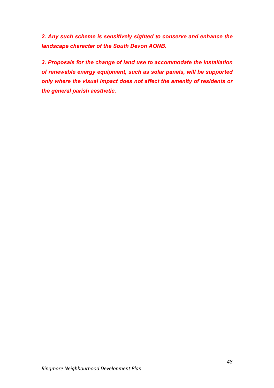*2. Any such scheme is sensitively sighted to conserve and enhance the landscape character of the South Devon AONB.*

*3. Proposals for the change of land use to accommodate the installation of renewable energy equipment, such as solar panels, will be supported only where the visual impact does not affect the amenity of residents or the general parish aesthetic.*